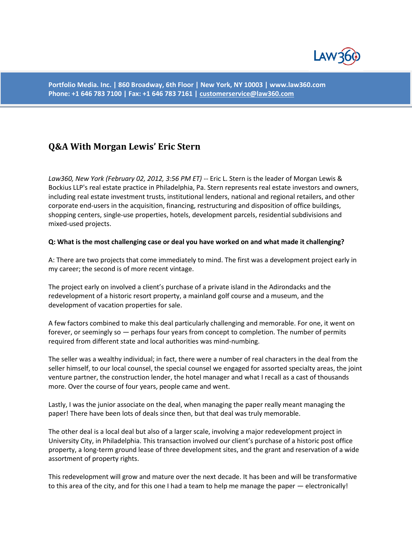

**Portfolio Media. Inc. | 860 Broadway, 6th Floor | New York, NY 10003 | www.law360.com Phone: +1 646 783 7100 | Fax: +1 646 783 7161 [| customerservice@law360.com](mailto:customerservice@law360.com)**

# **Q&A With Morgan Lewis' Eric Stern**

*Law360, New York (February 02, 2012, 3:56 PM ET)* -- Eric L. Stern is the leader of Morgan Lewis & Bockius LLP's real estate practice in Philadelphia, Pa. Stern represents real estate investors and owners, including real estate investment trusts, institutional lenders, national and regional retailers, and other corporate end-users in the acquisition, financing, restructuring and disposition of office buildings, shopping centers, single-use properties, hotels, development parcels, residential subdivisions and mixed-used projects.

#### **Q: What is the most challenging case or deal you have worked on and what made it challenging?**

A: There are two projects that come immediately to mind. The first was a development project early in my career; the second is of more recent vintage.

The project early on involved a client's purchase of a private island in the Adirondacks and the redevelopment of a historic resort property, a mainland golf course and a museum, and the development of vacation properties for sale.

A few factors combined to make this deal particularly challenging and memorable. For one, it went on forever, or seemingly so — perhaps four years from concept to completion. The number of permits required from different state and local authorities was mind-numbing.

The seller was a wealthy individual; in fact, there were a number of real characters in the deal from the seller himself, to our local counsel, the special counsel we engaged for assorted specialty areas, the joint venture partner, the construction lender, the hotel manager and what I recall as a cast of thousands more. Over the course of four years, people came and went.

Lastly, I was the junior associate on the deal, when managing the paper really meant managing the paper! There have been lots of deals since then, but that deal was truly memorable.

The other deal is a local deal but also of a larger scale, involving a major redevelopment project in University City, in Philadelphia. This transaction involved our client's purchase of a historic post office property, a long-term ground lease of three development sites, and the grant and reservation of a wide assortment of property rights.

This redevelopment will grow and mature over the next decade. It has been and will be transformative to this area of the city, and for this one I had a team to help me manage the paper — electronically!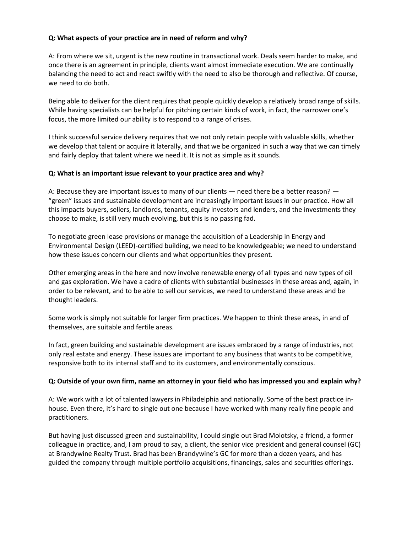#### **Q: What aspects of your practice are in need of reform and why?**

A: From where we sit, urgent is the new routine in transactional work. Deals seem harder to make, and once there is an agreement in principle, clients want almost immediate execution. We are continually balancing the need to act and react swiftly with the need to also be thorough and reflective. Of course, we need to do both.

Being able to deliver for the client requires that people quickly develop a relatively broad range of skills. While having specialists can be helpful for pitching certain kinds of work, in fact, the narrower one's focus, the more limited our ability is to respond to a range of crises.

I think successful service delivery requires that we not only retain people with valuable skills, whether we develop that talent or acquire it laterally, and that we be organized in such a way that we can timely and fairly deploy that talent where we need it. It is not as simple as it sounds.

## **Q: What is an important issue relevant to your practice area and why?**

A: Because they are important issues to many of our clients — need there be a better reason? — "green" issues and sustainable development are increasingly important issues in our practice. How all this impacts buyers, sellers, landlords, tenants, equity investors and lenders, and the investments they choose to make, is still very much evolving, but this is no passing fad.

To negotiate green lease provisions or manage the acquisition of a Leadership in Energy and Environmental Design (LEED)-certified building, we need to be knowledgeable; we need to understand how these issues concern our clients and what opportunities they present.

Other emerging areas in the here and now involve renewable energy of all types and new types of oil and gas exploration. We have a cadre of clients with substantial businesses in these areas and, again, in order to be relevant, and to be able to sell our services, we need to understand these areas and be thought leaders.

Some work is simply not suitable for larger firm practices. We happen to think these areas, in and of themselves, are suitable and fertile areas.

In fact, green building and sustainable development are issues embraced by a range of industries, not only real estate and energy. These issues are important to any business that wants to be competitive, responsive both to its internal staff and to its customers, and environmentally conscious.

#### **Q: Outside of your own firm, name an attorney in your field who has impressed you and explain why?**

A: We work with a lot of talented lawyers in Philadelphia and nationally. Some of the best practice inhouse. Even there, it's hard to single out one because I have worked with many really fine people and practitioners.

But having just discussed green and sustainability, I could single out Brad Molotsky, a friend, a former colleague in practice, and, I am proud to say, a client, the senior vice president and general counsel (GC) at Brandywine Realty Trust. Brad has been Brandywine's GC for more than a dozen years, and has guided the company through multiple portfolio acquisitions, financings, sales and securities offerings.